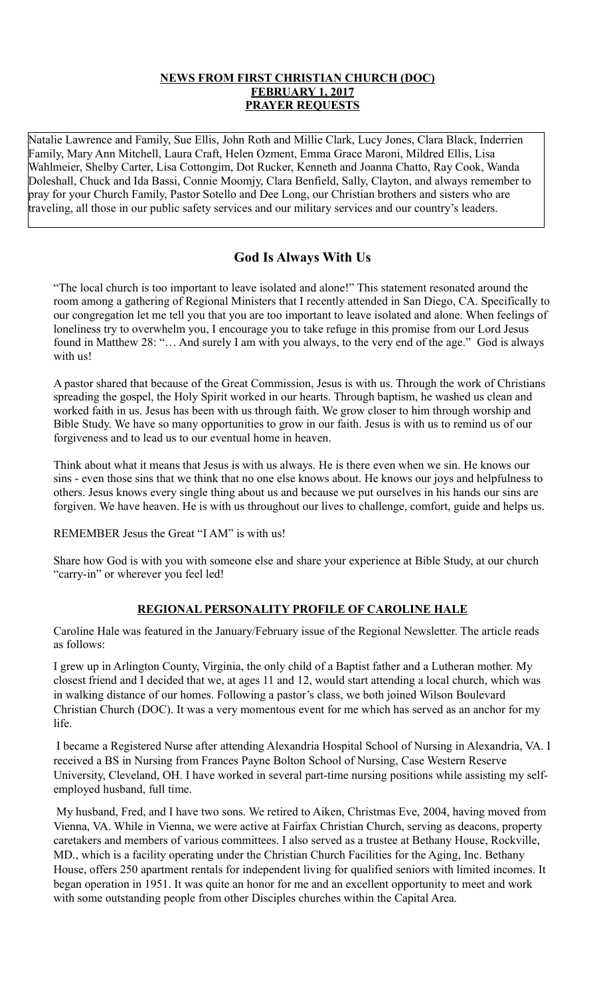## **NEWS FROM FIRST CHRISTIAN CHURCH (DOC) FEBRUARY 1, 2017 PRAYER REQUESTS**

Natalie Lawrence and Family, Sue Ellis, John Roth and Millie Clark, Lucy Jones, Clara Black, Inderrien Family, Mary Ann Mitchell, Laura Craft, Helen Ozment, Emma Grace Maroni, Mildred Ellis, Lisa Wahlmeier, Shelby Carter, Lisa Cottongim, Dot Rucker, Kenneth and Joanna Chatto, Ray Cook, Wanda Doleshall, Chuck and Ida Bassi, Connie Moomjy, Clara Benfield, Sally, Clayton, and always remember to pray for your Church Family, Pastor Sotello and Dee Long, our Christian brothers and sisters who are traveling, all those in our public safety services and our military services and our country's leaders.

# **God Is Always With Us**

"The local church is too important to leave isolated and alone!" This statement resonated around the room among a gathering of Regional Ministers that I recently attended in San Diego, CA. Specifically to our congregation let me tell you that you are too important to leave isolated and alone. When feelings of loneliness try to overwhelm you, I encourage you to take refuge in this promise from our Lord Jesus found in Matthew 28: "… And surely I am with you always, to the very end of the age." God is always with us!

A pastor shared that because of the Great Commission, Jesus is with us. Through the work of Christians spreading the gospel, the Holy Spirit worked in our hearts. Through baptism, he washed us clean and worked faith in us. Jesus has been with us through faith. We grow closer to him through worship and Bible Study. We have so many opportunities to grow in our faith. Jesus is with us to remind us of our forgiveness and to lead us to our eventual home in heaven.

Think about what it means that Jesus is with us always. He is there even when we sin. He knows our sins - even those sins that we think that no one else knows about. He knows our joys and helpfulness to others. Jesus knows every single thing about us and because we put ourselves in his hands our sins are forgiven. We have heaven. He is with us throughout our lives to challenge, comfort, guide and helps us.

REMEMBER Jesus the Great "I AM" is with us!

Share how God is with you with someone else and share your experience at Bible Study, at our church "carry-in" or wherever you feel led!

# **REGIONAL PERSONALITY PROFILE OF CAROLINE HALE**

Caroline Hale was featured in the January/February issue of the Regional Newsletter. The article reads as follows:

I grew up in Arlington County, Virginia, the only child of a Baptist father and a Lutheran mother. My closest friend and I decided that we, at ages 11 and 12, would start attending a local church, which was in walking distance of our homes. Following a pastor's class, we both joined Wilson Boulevard Christian Church (DOC). It was a very momentous event for me which has served as an anchor for my life.

 I became a Registered Nurse after attending Alexandria Hospital School of Nursing in Alexandria, VA. I received a BS in Nursing from Frances Payne Bolton School of Nursing, Case Western Reserve University, Cleveland, OH. I have worked in several part-time nursing positions while assisting my selfemployed husband, full time.

 My husband, Fred, and I have two sons. We retired to Aiken, Christmas Eve, 2004, having moved from Vienna, VA. While in Vienna, we were active at Fairfax Christian Church, serving as deacons, property caretakers and members of various committees. I also served as a trustee at Bethany House, Rockville, MD., which is a facility operating under the Christian Church Facilities for the Aging, Inc. Bethany House, offers 250 apartment rentals for independent living for qualified seniors with limited incomes. It began operation in 1951. It was quite an honor for me and an excellent opportunity to meet and work with some outstanding people from other Disciples churches within the Capital Area.